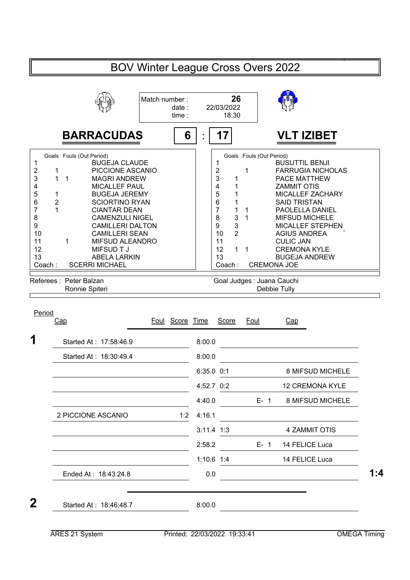## BOV Winter League Cross Overs 2022 **26** Match number : date : 22/03/2022 time : 18:30 : **BARRACUDAS 6 17 VLT IZIBET** Goals Fouls (Out Period)<br>BUGEJA CLAUDE 1 1 BUSUTTIL BENJI BUGEJA CLAUDE BUSUTTIL BENJI 1 1 2 1 PICCIONE ASCANIO<br>3 1 1 MAGRI ANDREW 1 PICCIONE ASCANIO | 2 1 FARRUGIA NICHOLAS<br>11 MAGRI ANDREW | 3 1 PACE MATTHEW 3 1 1 MAGRI ANDREW | | 3 1 PACE MATTHEW 4 MICALLEF PAUL | | 4 1 ZAMMIT OTIS 5 1 BUGEJA JEREMY<br>6 2 SCIORTINO RYAN 1 BUGEJA JEREMY | 5 1 MICALLEF ZACHARY<br>2 SCIORTINO RYAN | 6 1 SAID TRISTAN 6 2 SCIORTINO RYAN | | 6 1 SAID TRISTAN 7 1 CIANTAR DEAN 1 CIANTAR DEAN  $\begin{array}{|c|c|c|c|c|}\n1 & 1 & 1 & \text{PAOLELLA DANIEL}\n\end{array}$ <br>CAMENZULI NIGEL  $\begin{array}{|c|c|c|c|}\n3 & 3 & 1 & \text{MIFSUB MICHELE}\n\end{array}$ 8 CAMENZULI NIGEL | | 8 3 1 MIFSUD MICHELE 9 CAMILLERI DALTON 9 3 MICALLEF STEPHEN<br>10 2 AGIUS ANDREA CAMILLERI SEAN 2 AGIUS ANDREA 10 10 11 1 MIFSUD ALEANDRO CULIC JAN 12 1 1 CREMONA KYLE 12 MIFSUD T J 13 ABELA LARKIN 13 BUGEJA ANDREW Coach: CREMONA JOE Coach : SCERRI MICHAEL Referees : Peter Balzan Goal Judges : Juana Cauchi Ronnie Spiteri **Debbie Tully** Period<br>Cap Foul Score Time Score Foul Cap 1 <br>
Started At : 17:58:46.9 8:00.0 Started At : 18:30:49.4 8:00.0 6:35.0 0:1 8 MIFSUD MICHELE 4:52.7 0:2 CREMONA KYLE 12 4:40.0 E- 1 8 MIFSUD MICHELE 2 PICCIONE ASCANIO 1:2 4:16.1 3:11.4 1:3 4 ZAMMIT OTIS 2:58.2 E- 1 14 FELICE Luca 1:10.6 1:4 FELICE Luca 14 Ended At : 18:43:24.8 **1:4** 0.0 **1:4 1:4 2** Started At : 18:46:48.7 8:00.0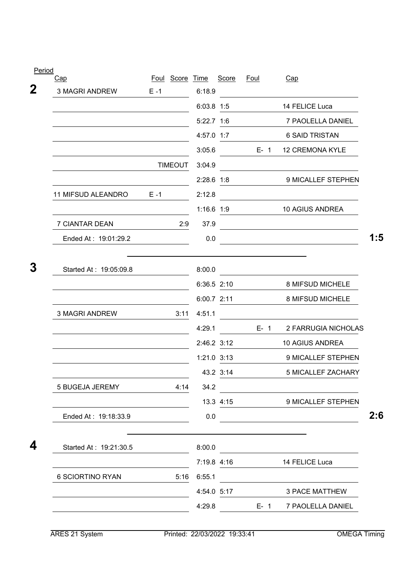| $rac{1}{2}$<br>Cap     |         | Foul Score Time |              | Score       | <u>Foul</u> | Cap                    |     |
|------------------------|---------|-----------------|--------------|-------------|-------------|------------------------|-----|
| <b>3 MAGRI ANDREW</b>  | $E - 1$ |                 | 6:18.9       |             |             |                        |     |
|                        |         |                 | 6:03.8 1:5   |             |             | 14 FELICE Luca         |     |
|                        |         |                 | 5:22.7 1:6   |             |             | 7 PAOLELLA DANIEL      |     |
|                        |         |                 | 4:57.0 1:7   |             |             | 6 SAID TRISTAN         |     |
|                        |         |                 | 3:05.6       |             | $E-1$       | <b>12 CREMONA KYLE</b> |     |
|                        |         | <b>TIMEOUT</b>  | 3:04.9       |             |             |                        |     |
|                        |         |                 | $2:28.6$ 1:8 |             |             | 9 MICALLEF STEPHEN     |     |
| 11 MIFSUD ALEANDRO     | $E - 1$ |                 | 2:12.8       |             |             |                        |     |
|                        |         |                 | 1:16.6 1:9   |             |             | <b>10 AGIUS ANDREA</b> |     |
| 7 CIANTAR DEAN         |         | 2:9             | 37.9         |             |             |                        |     |
| Ended At: 19:01:29.2   |         |                 | 0.0          |             |             |                        | 1:5 |
| Started At: 19:05:09.8 |         |                 | 8:00.0       |             |             |                        |     |
|                        |         |                 | 6:36.5 2:10  |             |             | 8 MIFSUD MICHELE       |     |
|                        |         |                 | 6:00.7 2:11  |             |             | 8 MIFSUD MICHELE       |     |
| <b>3 MAGRI ANDREW</b>  |         | 3:11            | 4:51.1       |             |             |                        |     |
|                        |         |                 | 4:29.1       |             | $E - 1$     | 2 FARRUGIA NICHOLAS    |     |
|                        |         |                 | 2:46.2 3:12  |             |             | 10 AGIUS ANDREA        |     |
|                        |         |                 | 1:21.0 3:13  |             |             | 9 MICALLEF STEPHEN     |     |
|                        |         |                 |              | 43.2 3:14   |             | 5 MICALLEF ZACHARY     |     |
| <b>5 BUGEJA JEREMY</b> |         | 4:14            | 34.2         |             |             |                        |     |
|                        |         |                 |              | 13.3 4:15   |             | 9 MICALLEF STEPHEN     |     |
| Ended At: 19:18:33.9   |         |                 | 0.0          |             |             |                        | 2:6 |
| Started At: 19:21:30.5 |         |                 | 8:00.0       |             |             |                        |     |
|                        |         |                 |              | 7:19.8 4:16 |             | 14 FELICE Luca         |     |
| 6 SCIORTINO RYAN       |         | 5:16            | 6:55.1       |             |             |                        |     |
|                        |         |                 |              | 4:54.0 5:17 |             | <b>3 PACE MATTHEW</b>  |     |
|                        |         |                 | 4:29.8       |             | $E - 1$     | 7 PAOLELLA DANIEL      |     |